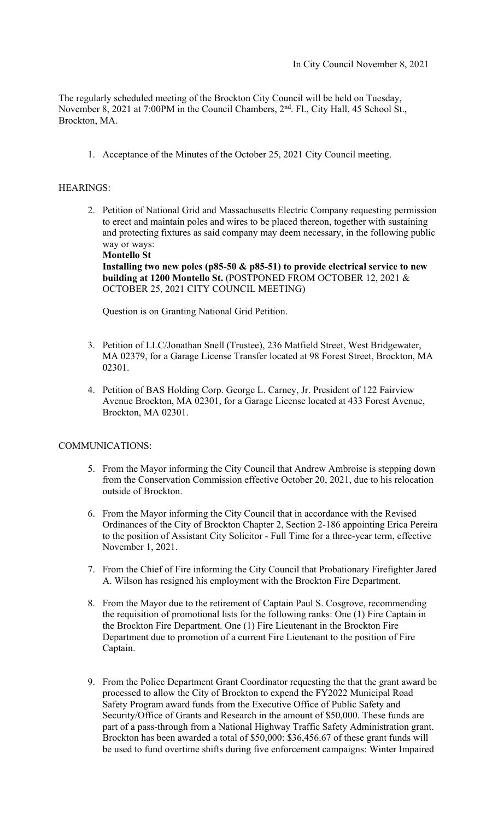The regularly scheduled meeting of the Brockton City Council will be held on Tuesday, November 8, 2021 at 7:00PM in the Council Chambers, 2<sup>nd</sup>. Fl., City Hall, 45 School St., Brockton, MA.

1. Acceptance of the Minutes of the October 25, 2021 City Council meeting.

# HEARINGS:

2. Petition of National Grid and Massachusetts Electric Company requesting permission to erect and maintain poles and wires to be placed thereon, together with sustaining and protecting fixtures as said company may deem necessary, in the following public way or ways:

**Montello St Installing two new poles (p85-50 & p85-51) to provide electrical service to new building at 1200 Montello St.** (POSTPONED FROM OCTOBER 12, 2021 & OCTOBER 25, 2021 CITY COUNCIL MEETING)

Question is on Granting National Grid Petition.

- 3. Petition of LLC/Jonathan Snell (Trustee), 236 Matfield Street, West Bridgewater, MA 02379, for a Garage License Transfer located at 98 Forest Street, Brockton, MA 02301.
- 4. Petition of BAS Holding Corp. George L. Carney, Jr. President of 122 Fairview Avenue Brockton, MA 02301, for a Garage License located at 433 Forest Avenue, Brockton, MA 02301.

# COMMUNICATIONS:

- 5. From the Mayor informing the City Council that Andrew Ambroise is stepping down from the Conservation Commission effective October 20, 2021, due to his relocation outside of Brockton.
- 6. From the Mayor informing the City Council that in accordance with the Revised Ordinances of the City of Brockton Chapter 2, Section 2-186 appointing Erica Pereira to the position of Assistant City Solicitor - Full Time for a three-year term, effective November 1, 2021.
- 7. From the Chief of Fire informing the City Council that Probationary Firefighter Jared A. Wilson has resigned his employment with the Brockton Fire Department.
- 8. From the Mayor due to the retirement of Captain Paul S. Cosgrove, recommending the requisition of promotional lists for the following ranks: One (1) Fire Captain in the Brockton Fire Department. One (1) Fire Lieutenant in the Brockton Fire Department due to promotion of a current Fire Lieutenant to the position of Fire Captain.
- 9. From the Police Department Grant Coordinator requesting the that the grant award be processed to allow the City of Brockton to expend the FY2022 Municipal Road Safety Program award funds from the Executive Office of Public Safety and Security/Office of Grants and Research in the amount of \$50,000. These funds are part of a pass-through from a National Highway Traffic Safety Administration grant. Brockton has been awarded a total of \$50,000: \$36,456.67 of these grant funds will be used to fund overtime shifts during five enforcement campaigns: Winter Impaired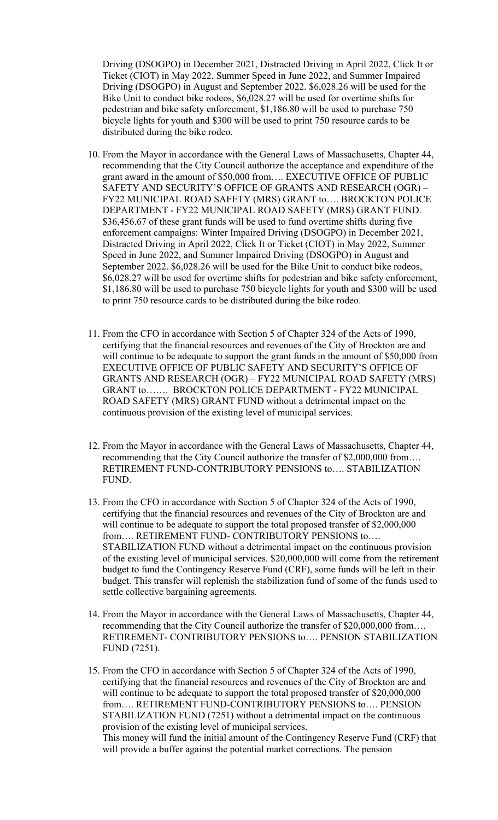Driving (DSOGPO) in December 2021, Distracted Driving in April 2022, Click It or Ticket (CIOT) in May 2022, Summer Speed in June 2022, and Summer Impaired Driving (DSOGPO) in August and September 2022. \$6,028.26 will be used for the Bike Unit to conduct bike rodeos, \$6,028.27 will be used for overtime shifts for pedestrian and bike safety enforcement, \$1,186.80 will be used to purchase 750 bicycle lights for youth and \$300 will be used to print 750 resource cards to be distributed during the bike rodeo.

- 10. From the Mayor in accordance with the General Laws of Massachusetts, Chapter 44, recommending that the City Council authorize the acceptance and expenditure of the grant award in the amount of \$50,000 from…. EXECUTIVE OFFICE OF PUBLIC SAFETY AND SECURITY'S OFFICE OF GRANTS AND RESEARCH (OGR) – FY22 MUNICIPAL ROAD SAFETY (MRS) GRANT to…. BROCKTON POLICE DEPARTMENT - FY22 MUNICIPAL ROAD SAFETY (MRS) GRANT FUND. \$36,456.67 of these grant funds will be used to fund overtime shifts during five enforcement campaigns: Winter Impaired Driving (DSOGPO) in December 2021, Distracted Driving in April 2022, Click It or Ticket (CIOT) in May 2022, Summer Speed in June 2022, and Summer Impaired Driving (DSOGPO) in August and September 2022. \$6,028.26 will be used for the Bike Unit to conduct bike rodeos, \$6,028.27 will be used for overtime shifts for pedestrian and bike safety enforcement, \$1,186.80 will be used to purchase 750 bicycle lights for youth and \$300 will be used to print 750 resource cards to be distributed during the bike rodeo.
- 11. From the CFO in accordance with Section 5 of Chapter 324 of the Acts of 1990, certifying that the financial resources and revenues of the City of Brockton are and will continue to be adequate to support the grant funds in the amount of \$50,000 from EXECUTIVE OFFICE OF PUBLIC SAFETY AND SECURITY'S OFFICE OF GRANTS AND RESEARCH (OGR) – FY22 MUNICIPAL ROAD SAFETY (MRS) GRANT to……. BROCKTON POLICE DEPARTMENT - FY22 MUNICIPAL ROAD SAFETY (MRS) GRANT FUND without a detrimental impact on the continuous provision of the existing level of municipal services.
- 12. From the Mayor in accordance with the General Laws of Massachusetts, Chapter 44, recommending that the City Council authorize the transfer of \$2,000,000 from…. RETIREMENT FUND-CONTRIBUTORY PENSIONS to…. STABILIZATION FUND.
- 13. From the CFO in accordance with Section 5 of Chapter 324 of the Acts of 1990, certifying that the financial resources and revenues of the City of Brockton are and will continue to be adequate to support the total proposed transfer of \$2,000,000 from…. RETIREMENT FUND- CONTRIBUTORY PENSIONS to…. STABILIZATION FUND without a detrimental impact on the continuous provision of the existing level of municipal services. \$20,000,000 will come from the retirement budget to fund the Contingency Reserve Fund (CRF), some funds will be left in their budget. This transfer will replenish the stabilization fund of some of the funds used to settle collective bargaining agreements.
- 14. From the Mayor in accordance with the General Laws of Massachusetts, Chapter 44, recommending that the City Council authorize the transfer of \$20,000,000 from…. RETIREMENT- CONTRIBUTORY PENSIONS to…. PENSION STABILIZATION FUND (7251).
- 15. From the CFO in accordance with Section 5 of Chapter 324 of the Acts of 1990, certifying that the financial resources and revenues of the City of Brockton are and will continue to be adequate to support the total proposed transfer of \$20,000,000 from…. RETIREMENT FUND-CONTRIBUTORY PENSIONS to…. PENSION STABILIZATION FUND (7251) without a detrimental impact on the continuous provision of the existing level of municipal services. This money will fund the initial amount of the Contingency Reserve Fund (CRF) that will provide a buffer against the potential market corrections. The pension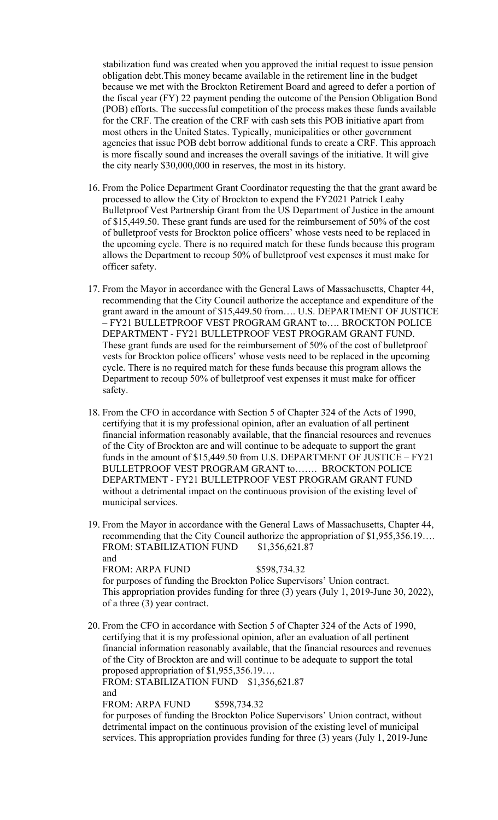stabilization fund was created when you approved the initial request to issue pension obligation debt.This money became available in the retirement line in the budget because we met with the Brockton Retirement Board and agreed to defer a portion of the fiscal year (FY) 22 payment pending the outcome of the Pension Obligation Bond (POB) efforts. The successful competition of the process makes these funds available for the CRF. The creation of the CRF with cash sets this POB initiative apart from most others in the United States. Typically, municipalities or other government agencies that issue POB debt borrow additional funds to create a CRF. This approach is more fiscally sound and increases the overall savings of the initiative. It will give the city nearly \$30,000,000 in reserves, the most in its history.

- 16. From the Police Department Grant Coordinator requesting the that the grant award be processed to allow the City of Brockton to expend the FY2021 Patrick Leahy Bulletproof Vest Partnership Grant from the US Department of Justice in the amount of \$15,449.50. These grant funds are used for the reimbursement of 50% of the cost of bulletproof vests for Brockton police officers' whose vests need to be replaced in the upcoming cycle. There is no required match for these funds because this program allows the Department to recoup 50% of bulletproof vest expenses it must make for officer safety.
- 17. From the Mayor in accordance with the General Laws of Massachusetts, Chapter 44, recommending that the City Council authorize the acceptance and expenditure of the grant award in the amount of \$15,449.50 from…. U.S. DEPARTMENT OF JUSTICE – FY21 BULLETPROOF VEST PROGRAM GRANT to…. BROCKTON POLICE DEPARTMENT - FY21 BULLETPROOF VEST PROGRAM GRANT FUND. These grant funds are used for the reimbursement of 50% of the cost of bulletproof vests for Brockton police officers' whose vests need to be replaced in the upcoming cycle. There is no required match for these funds because this program allows the Department to recoup 50% of bulletproof vest expenses it must make for officer safety.
- 18. From the CFO in accordance with Section 5 of Chapter 324 of the Acts of 1990, certifying that it is my professional opinion, after an evaluation of all pertinent financial information reasonably available, that the financial resources and revenues of the City of Brockton are and will continue to be adequate to support the grant funds in the amount of \$15,449.50 from U.S. DEPARTMENT OF JUSTICE – FY21 BULLETPROOF VEST PROGRAM GRANT to……. BROCKTON POLICE DEPARTMENT - FY21 BULLETPROOF VEST PROGRAM GRANT FUND without a detrimental impact on the continuous provision of the existing level of municipal services.
- 19. From the Mayor in accordance with the General Laws of Massachusetts, Chapter 44, recommending that the City Council authorize the appropriation of \$1,955,356.19…. FROM: STABILIZATION FUND \$1,356,621.87 and FROM: ARPA FUND \$598,734.32 for purposes of funding the Brockton Police Supervisors' Union contract. This appropriation provides funding for three (3) years (July 1, 2019-June 30, 2022), of a three (3) year contract.
- 20. From the CFO in accordance with Section 5 of Chapter 324 of the Acts of 1990, certifying that it is my professional opinion, after an evaluation of all pertinent financial information reasonably available, that the financial resources and revenues of the City of Brockton are and will continue to be adequate to support the total proposed appropriation of \$1,955,356.19…. FROM: STABILIZATION FUND \$1,356,621.87 and FROM: ARPA FUND \$598,734.32 for purposes of funding the Brockton Police Supervisors' Union contract, without detrimental impact on the continuous provision of the existing level of municipal services. This appropriation provides funding for three (3) years (July 1, 2019-June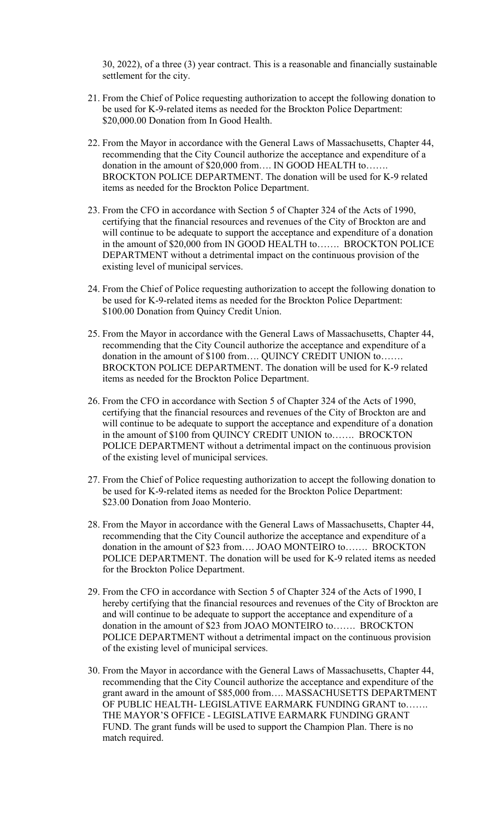30, 2022), of a three (3) year contract. This is a reasonable and financially sustainable settlement for the city.

- 21. From the Chief of Police requesting authorization to accept the following donation to be used for K-9-related items as needed for the Brockton Police Department: \$20,000.00 Donation from In Good Health.
- 22. From the Mayor in accordance with the General Laws of Massachusetts, Chapter 44, recommending that the City Council authorize the acceptance and expenditure of a donation in the amount of \$20,000 from…. IN GOOD HEALTH to……. BROCKTON POLICE DEPARTMENT. The donation will be used for K-9 related items as needed for the Brockton Police Department.
- 23. From the CFO in accordance with Section 5 of Chapter 324 of the Acts of 1990, certifying that the financial resources and revenues of the City of Brockton are and will continue to be adequate to support the acceptance and expenditure of a donation in the amount of \$20,000 from IN GOOD HEALTH to……. BROCKTON POLICE DEPARTMENT without a detrimental impact on the continuous provision of the existing level of municipal services.
- 24. From the Chief of Police requesting authorization to accept the following donation to be used for K-9-related items as needed for the Brockton Police Department: \$100.00 Donation from Quincy Credit Union.
- donation in the amount of \$100 from…. QUINCY CREDIT UNION to……. 25. From the Mayor in accordance with the General Laws of Massachusetts, Chapter 44, recommending that the City Council authorize the acceptance and expenditure of a BROCKTON POLICE DEPARTMENT. The donation will be used for K-9 related items as needed for the Brockton Police Department.
- 26. From the CFO in accordance with Section 5 of Chapter 324 of the Acts of 1990, certifying that the financial resources and revenues of the City of Brockton are and will continue to be adequate to support the acceptance and expenditure of a donation in the amount of \$100 from QUINCY CREDIT UNION to……. BROCKTON POLICE DEPARTMENT without a detrimental impact on the continuous provision of the existing level of municipal services.
- 27. From the Chief of Police requesting authorization to accept the following donation to be used for K-9-related items as needed for the Brockton Police Department: \$23.00 Donation from Joao Monterio.
- 28. From the Mayor in accordance with the General Laws of Massachusetts, Chapter 44, recommending that the City Council authorize the acceptance and expenditure of a donation in the amount of \$23 from…. JOAO MONTEIRO to……. BROCKTON POLICE DEPARTMENT. The donation will be used for K-9 related items as needed for the Brockton Police Department.
- 29. From the CFO in accordance with Section 5 of Chapter 324 of the Acts of 1990, I hereby certifying that the financial resources and revenues of the City of Brockton are and will continue to be adequate to support the acceptance and expenditure of a donation in the amount of \$23 from JOAO MONTEIRO to……. BROCKTON POLICE DEPARTMENT without a detrimental impact on the continuous provision of the existing level of municipal services.
- 30. From the Mayor in accordance with the General Laws of Massachusetts, Chapter 44, recommending that the City Council authorize the acceptance and expenditure of the grant award in the amount of \$85,000 from…. MASSACHUSETTS DEPARTMENT OF PUBLIC HEALTH- LEGISLATIVE EARMARK FUNDING GRANT to……. THE MAYOR'S OFFICE - LEGISLATIVE EARMARK FUNDING GRANT FUND. The grant funds will be used to support the Champion Plan. There is no match required.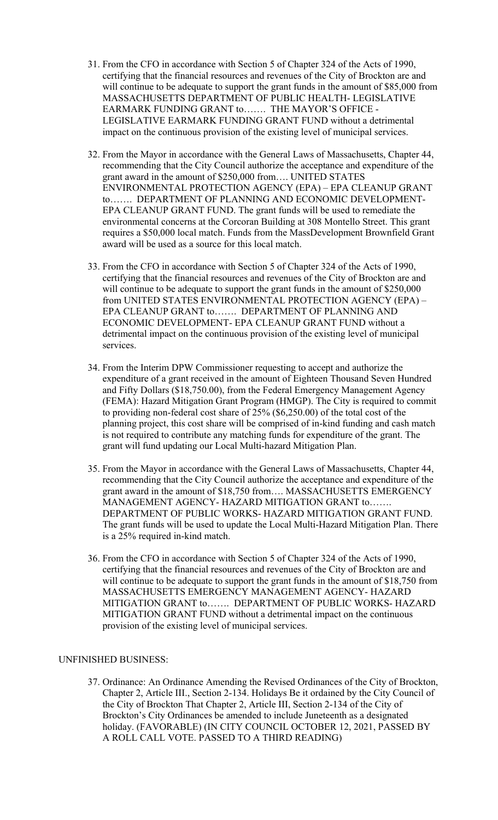- 31. From the CFO in accordance with Section 5 of Chapter 324 of the Acts of 1990, certifying that the financial resources and revenues of the City of Brockton are and will continue to be adequate to support the grant funds in the amount of \$85,000 from MASSACHUSETTS DEPARTMENT OF PUBLIC HEALTH- LEGISLATIVE EARMARK FUNDING GRANT to……. THE MAYOR'S OFFICE - LEGISLATIVE EARMARK FUNDING GRANT FUND without a detrimental impact on the continuous provision of the existing level of municipal services.
- 32. From the Mayor in accordance with the General Laws of Massachusetts, Chapter 44, recommending that the City Council authorize the acceptance and expenditure of the grant award in the amount of \$250,000 from…. UNITED STATES ENVIRONMENTAL PROTECTION AGENCY (EPA) – EPA CLEANUP GRANT to……. DEPARTMENT OF PLANNING AND ECONOMIC DEVELOPMENT-EPA CLEANUP GRANT FUND. The grant funds will be used to remediate the environmental concerns at the Corcoran Building at 308 Montello Street. This grant requires a \$50,000 local match. Funds from the MassDevelopment Brownfield Grant award will be used as a source for this local match.
- 33. From the CFO in accordance with Section 5 of Chapter 324 of the Acts of 1990, certifying that the financial resources and revenues of the City of Brockton are and will continue to be adequate to support the grant funds in the amount of \$250,000 from UNITED STATES ENVIRONMENTAL PROTECTION AGENCY (EPA) – EPA CLEANUP GRANT to……. DEPARTMENT OF PLANNING AND ECONOMIC DEVELOPMENT- EPA CLEANUP GRANT FUND without a detrimental impact on the continuous provision of the existing level of municipal services.
- 34. From the Interim DPW Commissioner requesting to accept and authorize the expenditure of a grant received in the amount of Eighteen Thousand Seven Hundred and Fifty Dollars (\$18,750.00), from the Federal Emergency Management Agency (FEMA): Hazard Mitigation Grant Program (HMGP). The City is required to commit to providing non-federal cost share of 25% (\$6,250.00) of the total cost of the planning project, this cost share will be comprised of in-kind funding and cash match is not required to contribute any matching funds for expenditure of the grant. The grant will fund updating our Local Multi-hazard Mitigation Plan.
- 35. From the Mayor in accordance with the General Laws of Massachusetts, Chapter 44, recommending that the City Council authorize the acceptance and expenditure of the grant award in the amount of \$18,750 from…. MASSACHUSETTS EMERGENCY MANAGEMENT AGENCY- HAZARD MITIGATION GRANT to……. DEPARTMENT OF PUBLIC WORKS- HAZARD MITIGATION GRANT FUND. The grant funds will be used to update the Local Multi-Hazard Mitigation Plan. There is a 25% required in-kind match.
- 36. From the CFO in accordance with Section 5 of Chapter 324 of the Acts of 1990, certifying that the financial resources and revenues of the City of Brockton are and will continue to be adequate to support the grant funds in the amount of \$18,750 from MASSACHUSETTS EMERGENCY MANAGEMENT AGENCY- HAZARD MITIGATION GRANT to……. DEPARTMENT OF PUBLIC WORKS- HAZARD MITIGATION GRANT FUND without a detrimental impact on the continuous provision of the existing level of municipal services.

# UNFINISHED BUSINESS:

37. Ordinance: An Ordinance Amending the Revised Ordinances of the City of Brockton, Chapter 2, Article III., Section 2-134. Holidays Be it ordained by the City Council of the City of Brockton That Chapter 2, Article III, Section 2-134 of the City of Brockton's City Ordinances be amended to include Juneteenth as a designated holiday. (FAVORABLE) (IN CITY COUNCIL OCTOBER 12, 2021, PASSED BY A ROLL CALL VOTE. PASSED TO A THIRD READING)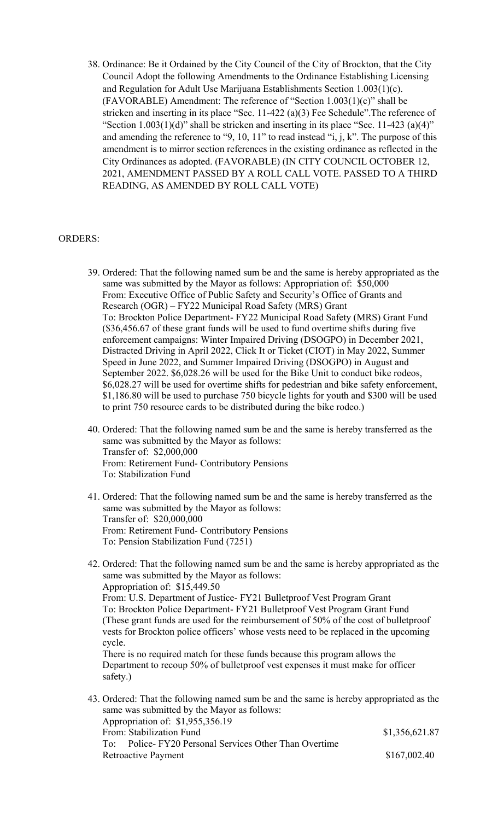38. Ordinance: Be it Ordained by the City Council of the City of Brockton, that the City Council Adopt the following Amendments to the Ordinance Establishing Licensing and Regulation for Adult Use Marijuana Establishments Section 1.003(1)(c). (FAVORABLE) Amendment: The reference of "Section 1.003(1)(c)" shall be stricken and inserting in its place "Sec. 11-422 (a)(3) Fee Schedule".The reference of "Section  $1.003(1)(d)$ " shall be stricken and inserting in its place "Sec. 11-423 (a)(4)" and amending the reference to "9, 10, 11" to read instead "i, j, k". The purpose of this amendment is to mirror section references in the existing ordinance as reflected in the City Ordinances as adopted. (FAVORABLE) (IN CITY COUNCIL OCTOBER 12, 2021, AMENDMENT PASSED BY A ROLL CALL VOTE. PASSED TO A THIRD READING, AS AMENDED BY ROLL CALL VOTE)

# ORDERS:

- 39. Ordered: That the following named sum be and the same is hereby appropriated as the same was submitted by the Mayor as follows: Appropriation of: \$50,000 From: Executive Office of Public Safety and Security's Office of Grants and Research (OGR) – FY22 Municipal Road Safety (MRS) Grant To: Brockton Police Department- FY22 Municipal Road Safety (MRS) Grant Fund (\$36,456.67 of these grant funds will be used to fund overtime shifts during five enforcement campaigns: Winter Impaired Driving (DSOGPO) in December 2021, Distracted Driving in April 2022, Click It or Ticket (CIOT) in May 2022, Summer Speed in June 2022, and Summer Impaired Driving (DSOGPO) in August and September 2022. \$6,028.26 will be used for the Bike Unit to conduct bike rodeos, \$6,028.27 will be used for overtime shifts for pedestrian and bike safety enforcement, \$1,186.80 will be used to purchase 750 bicycle lights for youth and \$300 will be used to print 750 resource cards to be distributed during the bike rodeo.)
- 40. Ordered: That the following named sum be and the same is hereby transferred as the same was submitted by the Mayor as follows: Transfer of: \$2,000,000 From: Retirement Fund- Contributory Pensions To: Stabilization Fund
- 41. Ordered: That the following named sum be and the same is hereby transferred as the same was submitted by the Mayor as follows: Transfer of: \$20,000,000 From: Retirement Fund- Contributory Pensions To: Pension Stabilization Fund (7251)
- 42. Ordered: That the following named sum be and the same is hereby appropriated as the same was submitted by the Mayor as follows: Appropriation of: \$15,449.50 From: U.S. Department of Justice- FY21 Bulletproof Vest Program Grant To: Brockton Police Department- FY21 Bulletproof Vest Program Grant Fund (These grant funds are used for the reimbursement of 50% of the cost of bulletproof vests for Brockton police officers' whose vests need to be replaced in the upcoming cycle. There is no required match for these funds because this program allows the Department to recoup 50% of bulletproof vest expenses it must make for officer safety.) 43. Ordered: That the following named sum be and the same is hereby appropriated as the same was submitted by the Mayor as follows:
	- To: Police- FY20 Personal Services Other Than Overtime Appropriation of: \$1,955,356.19 From: Stabilization Fund \$1,356,621.87 Retroactive Payment \$167,002.40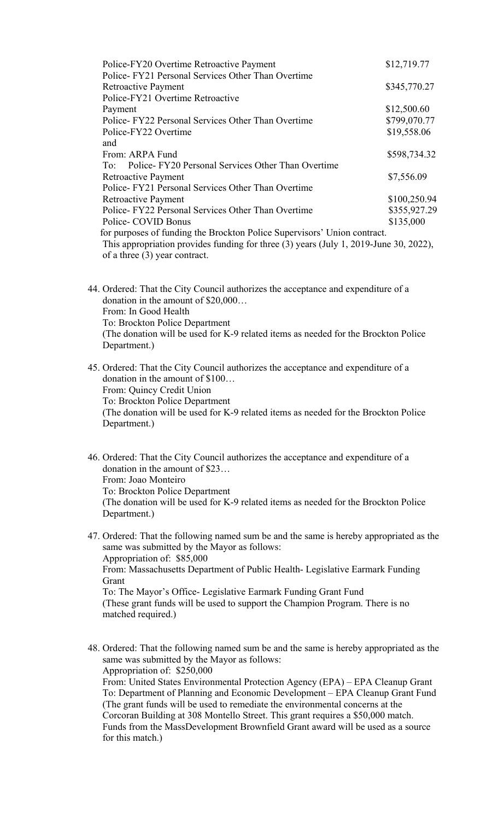| Police-FY20 Overtime Retroactive Payment<br>Police-FY21 Personal Services Other Than Overtime                                                                                                        | \$12,719.77  |
|------------------------------------------------------------------------------------------------------------------------------------------------------------------------------------------------------|--------------|
| Retroactive Payment<br>Police-FY21 Overtime Retroactive                                                                                                                                              | \$345,770.27 |
| Payment                                                                                                                                                                                              | \$12,500.60  |
| Police-FY22 Personal Services Other Than Overtime                                                                                                                                                    | \$799,070.77 |
| Police-FY22 Overtime                                                                                                                                                                                 | \$19,558.06  |
| and                                                                                                                                                                                                  |              |
| From: ARPA Fund                                                                                                                                                                                      | \$598,734.32 |
| Police-FY20 Personal Services Other Than Overtime<br>To:                                                                                                                                             |              |
| Retroactive Payment                                                                                                                                                                                  | \$7,556.09   |
| Police-FY21 Personal Services Other Than Overtime                                                                                                                                                    |              |
| Retroactive Payment                                                                                                                                                                                  | \$100,250.94 |
| Police-FY22 Personal Services Other Than Overtime                                                                                                                                                    | \$355,927.29 |
| Police- COVID Bonus                                                                                                                                                                                  | \$135,000    |
| for purposes of funding the Brockton Police Supervisors' Union contract.<br>This appropriation provides funding for three (3) years (July 1, 2019-June 30, 2022),<br>of a three $(3)$ year contract. |              |

44. Ordered: That the City Council authorizes the acceptance and expenditure of a donation in the amount of \$20,000… From: In Good Health To: Brockton Police Department (The donation will be used for K-9 related items as needed for the Brockton Police Department.)

45. Ordered: That the City Council authorizes the acceptance and expenditure of a donation in the amount of \$100… From: Quincy Credit Union To: Brockton Police Department (The donation will be used for K-9 related items as needed for the Brockton Police Department.)

46. Ordered: That the City Council authorizes the acceptance and expenditure of a donation in the amount of \$23… From: Joao Monteiro To: Brockton Police Department (The donation will be used for K-9 related items as needed for the Brockton Police Department.)

- 47. Ordered: That the following named sum be and the same is hereby appropriated as the same was submitted by the Mayor as follows: Appropriation of: \$85,000 From: Massachusetts Department of Public Health- Legislative Earmark Funding Grant To: The Mayor's Office- Legislative Earmark Funding Grant Fund (These grant funds will be used to support the Champion Program. There is no matched required.)
- 48. Ordered: That the following named sum be and the same is hereby appropriated as the same was submitted by the Mayor as follows: Appropriation of: \$250,000 From: United States Environmental Protection Agency (EPA) – EPA Cleanup Grant To: Department of Planning and Economic Development – EPA Cleanup Grant Fund (The grant funds will be used to remediate the environmental concerns at the Corcoran Building at 308 Montello Street. This grant requires a \$50,000 match. Funds from the MassDevelopment Brownfield Grant award will be used as a source for this match.)